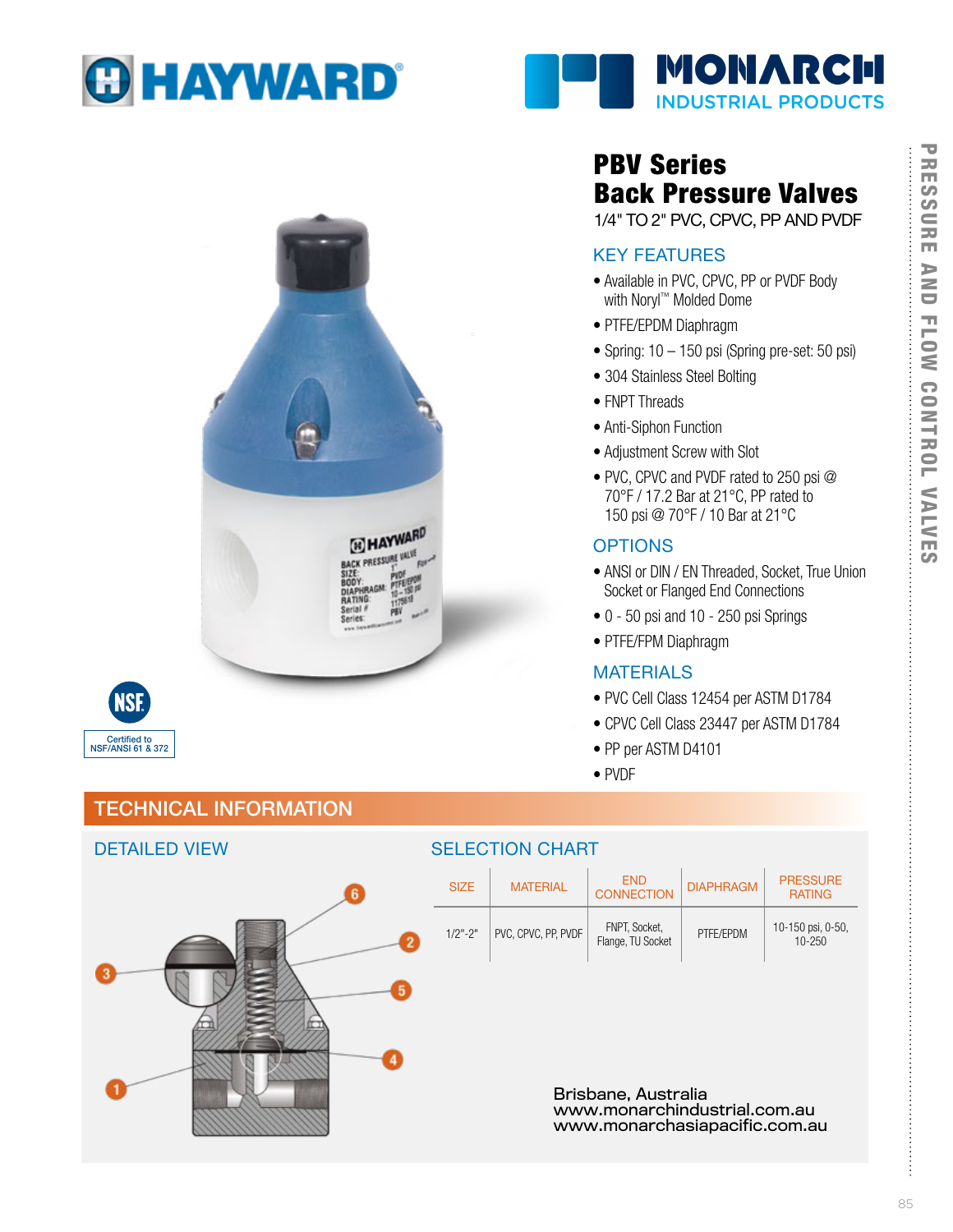



**BACK** 



DETAILED VIEW

### TECHNICAL INFORMATION



## PBV Series Back Pressure Valves

1/4" TO 2" PVC, CPVC, PP AND PVDF

## KEY FEATURES

- Available in PVC, CPVC, PP or PVDF Body with Noryl™ Molded Dome
- PTFE/EPDM Diaphragm
- Spring: 10 150 psi (Spring pre-set: 50 psi)
- 304 Stainless Steel Bolting
- FNPT Threads
- Anti-Siphon Function
- Adjustment Screw with Slot
- PVC, CPVC and PVDF rated to 250 psi @ 70°F / 17.2 Bar at 21°C, PP rated to 150 psi @ 70°F / 10 Bar at 21°C

#### **OPTIONS**

- ANSI or DIN / EN Threaded, Socket, True Union Socket or Flanged End Connections
- 0 50 psi and 10 250 psi Springs
- PTFE/FPM Diaphragm

#### MATERIALS

- PVC Cell Class 12454 per ASTM D1784
- CPVC Cell Class 23447 per ASTM D1784
- PP per ASTM D4101
- PVDF

| <b>DETAILED VIEW</b> | <u>OELEU HUN UNANT</u>                                                               |                     |                                    |                  |                                  |
|----------------------|--------------------------------------------------------------------------------------|---------------------|------------------------------------|------------------|----------------------------------|
|                      | <b>SIZE</b>                                                                          | <b>MATERIAL</b>     | <b>END</b><br><b>CONNECTION</b>    | <b>DIAPHRAGM</b> | <b>PRESSURE</b><br><b>RATING</b> |
|                      | $1/2" - 2"$                                                                          | PVC, CPVC, PP, PVDF | FNPT, Socket,<br>Flange, TU Socket | PTFE/EPDM        | 10-150 psi, 0-50,<br>10-250      |
|                      |                                                                                      |                     |                                    |                  |                                  |
|                      |                                                                                      |                     |                                    |                  |                                  |
|                      | Brisbane, Australia<br>www.monarchindustrial.com.au<br>www.monarchasiapacific.com.au |                     |                                    |                  |                                  |

SELECTION CHART

# **PRESSURE** PRESSURE AND FLOW CONTROL VALVES **AND FLOW** CONTROL VALVES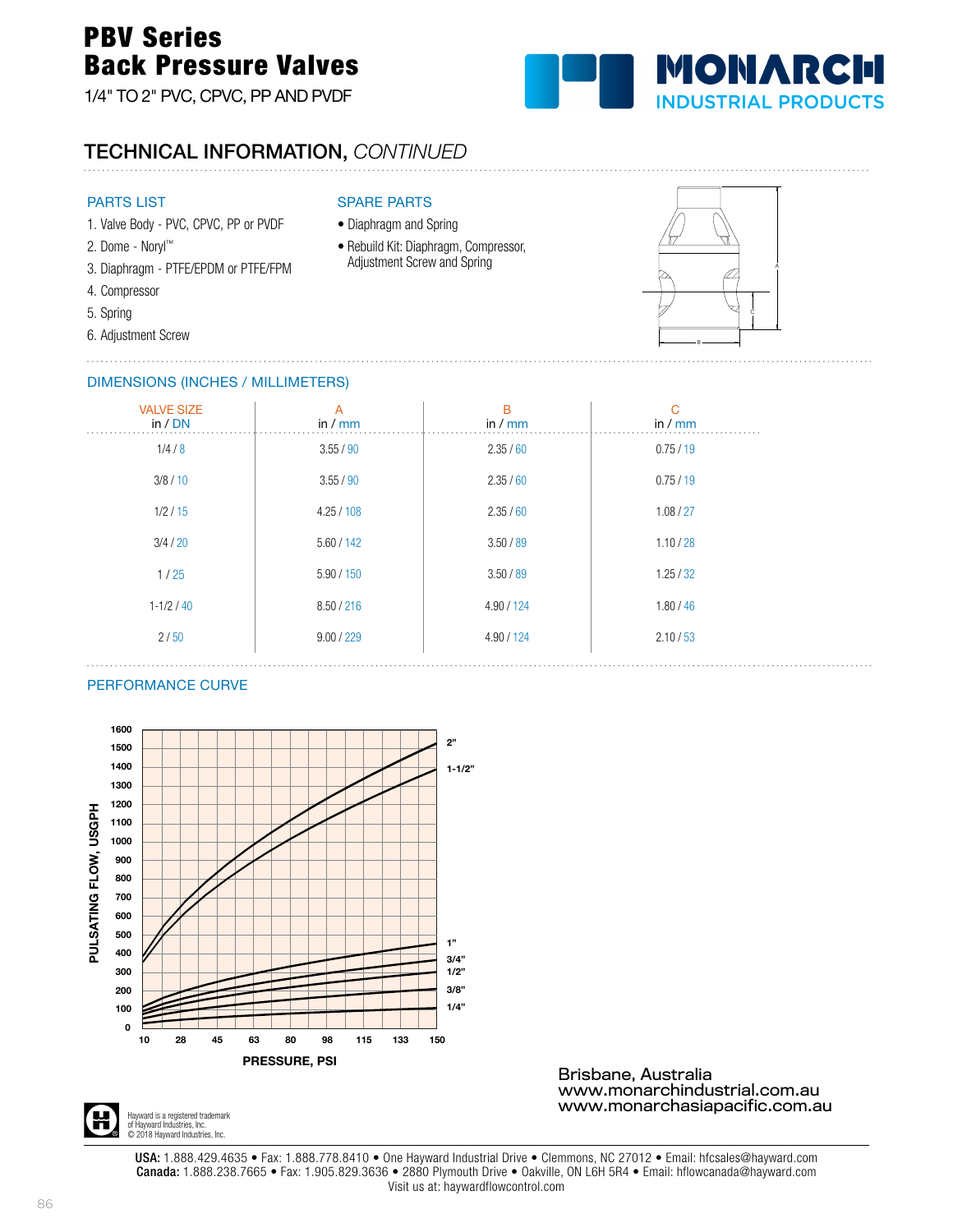## PBV Series Back Pressure Valves

1/4" TO 2" PVC, CPVC, PP AND PVDF



## TECHNICAL INFORMATION, *CONTINUED*

#### PARTS LIST

- 1. Valve Body PVC, CPVC, PP or PVDF
- 2. Dome Noryl™
- 3. Diaphragm PTFE/EPDM or PTFE/FPM
- 4. Compressor
- 5. Spring
- 6. Adjustment Screw . . . . . . . . . . . . . .

#### SPARE PARTS

- Diaphragm and Spring
- Rebuild Kit: Diaphragm, Compressor, Adjustment Screw and Spring



#### DIMENSIONS (INCHES / MILLIMETERS)

| <b>VALVE SIZE</b><br>in / DN | $\overline{A}$<br>in $/mm$ | B<br>in $/mm$ | C<br>in $\sqrt{mm}$ |
|------------------------------|----------------------------|---------------|---------------------|
| 1/4/8                        | 3.55/90                    | 2.35/60       | 0.75/19             |
| 3/8/10                       | 3.55 / 90                  | 2.35/60       | 0.75/19             |
| 1/2/15                       | 4.25/108                   | 2.35/60       | 1.08 / 27           |
| 3/4/20                       | 5.60 / 142                 | 3.50 / 89     | 1.10 / 28           |
| 1/25                         | 5.90 / 150                 | 3.50 / 89     | 1.25 / 32           |
| $1 - 1/2 / 40$               | 8.50 / 216                 | 4.90 / 124    | 1.80 / 46           |
| 2/50                         | 9.00 / 229                 | 4.90 / 124    | 2.10 / 53           |

#### PERFORMANCE CURVE



Brisbane, Australia www.monarchindustrial.com.au www.monarchasiapacific.com.au



USA: 1.888.429.4635 • Fax: 1.888.778.8410 • One Hayward Industrial Drive • Clemmons, NC 27012 • Email: hfcsales@hayward.com Canada: 1.888.238.7665 • Fax: 1.905.829.3636 • 2880 Plymouth Drive • Oakville, ON L6H 5R4 • Email: hflowcanada@hayward.com Visit us at: haywardflowcontrol.com